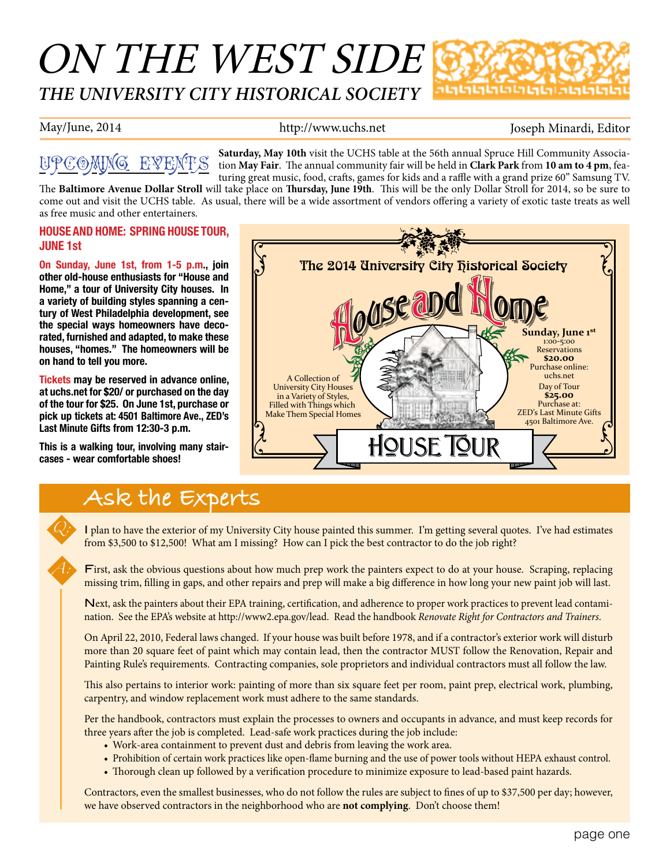# ON THE WEST SIDE *THE UNIVERSITY CITY HISTORICAL SOCIETY*



May/June, 2014 **http://www.uchs.net** Joseph Minardi, Editor

## Upcoming Events

**Saturday, May 10th** visit the UCHS table at the 56th annual Spruce Hill Community Association **May Fair**. The annual community fair will be held in **Clark Park** from **10 am to 4 pm**, featuring great music, food, crafts, games for kids and a raffle with a grand prize 60" Samsung TV.

The **Baltimore Avenue Dollar Stroll** will take place on **Thursday, June 19th**. This will be the only Dollar Stroll for 2014, so be sure to come out and visit the UCHS table. As usual, there will be a wide assortment of vendors offering a variety of exotic taste treats as well as free music and other entertainers.

#### **HOUSE AND HOME: SPRING HOUSE TOUR, JUNE 1st**

**On Sunday, June 1st, from 1-5 p.m., join other old-house enthusiasts for "House and Home," a tour of University City houses. In a variety of building styles spanning a century of West Philadelphia development, see the special ways homeowners have decorated, furnished and adapted, to make these houses, "homes." The homeowners will be on hand to tell you more.**

**Tickets may be reserved in advance online, at uchs.net for \$20/ or purchased on the day of the tour for \$25. On June 1st, purchase or pick up tickets at: 4501 Baltimore Ave., ZED's Last Minute Gifts from 12:30-3 p.m.**

**This is a walking tour, involving many staircases - wear comfortable shoes!**

*Q:*

*A:*



### **Ask the Experts**

I plan to have the exterior of my University City house painted this summer. I'm getting several quotes. I've had estimates from \$3,500 to \$12,500! What am I missing? How can I pick the best contractor to do the job right?

First, ask the obvious questions about how much prep work the painters expect to do at your house. Scraping, replacing missing trim, filling in gaps, and other repairs and prep will make a big difference in how long your new paint job will last.

Next, ask the painters about their EPA training, certification, and adherence to proper work practices to prevent lead contamination. See the EPA's website at http://www2.epa.gov/lead. Read the handbook *Renovate Right for Contractors and Trainers*.

On April 22, 2010, Federal laws changed. If your house was built before 1978, and if a contractor's exterior work will disturb more than 20 square feet of paint which may contain lead, then the contractor MUST follow the Renovation, Repair and Painting Rule's requirements. Contracting companies, sole proprietors and individual contractors must all follow the law.

This also pertains to interior work: painting of more than six square feet per room, paint prep, electrical work, plumbing, carpentry, and window replacement work must adhere to the same standards.

Per the handbook, contractors must explain the processes to owners and occupants in advance, and must keep records for three years after the job is completed. Lead-safe work practices during the job include:

- Work-area containment to prevent dust and debris from leaving the work area.
- • Prohibition of certain work practices like open-flame burning and the use of power tools without HEPA exhaust control.
- Thorough clean up followed by a verification procedure to minimize exposure to lead-based paint hazards.

Contractors, even the smallest businesses, who do not follow the rules are subject to fines of up to \$37,500 per day; however, we have observed contractors in the neighborhood who are **not complying**. Don't choose them!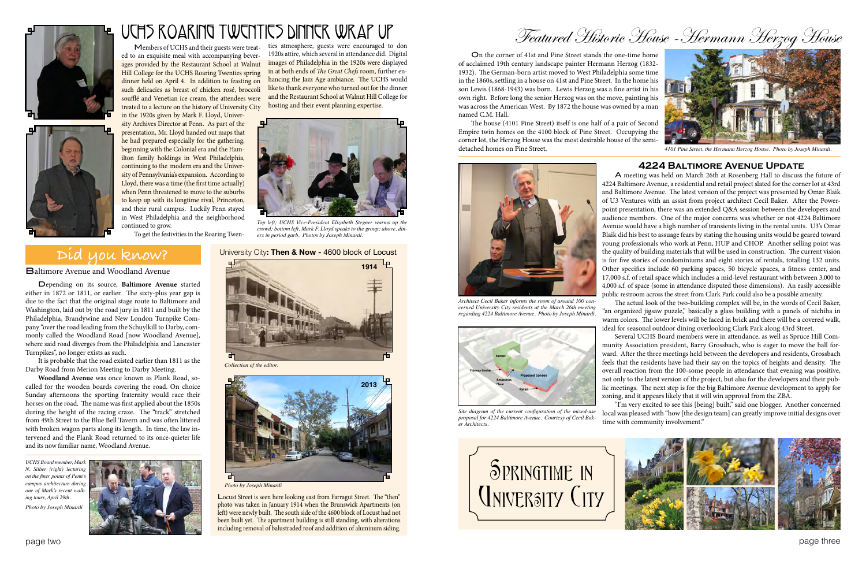page two page three

Members of UCHS and their guests were treat-





ed to an exquisite meal with accompanying beverages provided by the Restaurant School at Walnut Hill College for the UCHS Roaring Twenties spring dinner held on April 4. In addition to feasting on such delicacies as breast of chicken rosé, broccoli soufflé and Venetian ice cream, the attendees were treated to a lecture on the history of University City in the 1920s given by Mark F. Lloyd, University Archives Director at Penn. As part of the

presentation, Mr. Lloyd handed out maps that he had prepared especially for the gathering, beginning with the Colonial era and the Hamilton family holdings in West Philadelphia, continuing to the modern era and the University of Pennsylvania's expansion. According to Lloyd, there was a time (the first time actually) when Penn threatened to move to the suburbs to keep up with its longtime rival, Princeton, and their rural campus. Luckily Penn stayed in West Philadelphia and the neighborhood continued to grow.

To get the festivities in the Roaring Twen-

#### ties atmosphere, guests were encouraged to don 1920s attire, which several in attendance did. Digital images of Philadelphia in the 1920s were displayed in at both ends of *The Great Chefs* room, further enhancing the Jazz Age ambiance. The UCHS would like to thank everyone who turned out for the dinner and the Restaurant School at Walnut Hill College for hosting and their event planning expertise. UCHS Roaring Twenties Dinner Wrap Up

Locust Street is seen here looking east from Farragut Street. The "then" photo was taken in January 1914 when the Brunswick Apartments (on left) were newly built. The south side of the 4600 block of Locust had not been built yet. The apartment building is still standing, with alterations including removal of balustraded roof and addition of aluminum siding.

Featured Historic House -Hermann Herzog House

On the corner of 41st and Pine Street stands the one-time home of acclaimed 19th century landscape painter Hermann Herzog (1832- 1932). The German-born artist moved to West Philadelphia some time in the 1860s, settling in a house on 41st and Pine Street. In the home his son Lewis (1868-1943) was born. Lewis Herzog was a fine artist in his own right. Before long the senior Herzog was on the move, painting his was across the American West. By 1872 the house was owned by a man named C.M. Hall.

The house (4101 Pine Street) itself is one half of a pair of Second Empire twin homes on the 4100 block of Pine Street. Occupying the corner lot, the Herzog House was the most desirable house of the semidetached homes on Pine Street.

# **Did you know?**

Baltimore Avenue and Woodland Avenue

Depending on its source, **Baltimore Avenue** started either in 1872 or 1811, or earlier. The sixty-plus year gap is due to the fact that the original stage route to Baltimore and Washington, laid out by the road jury in 1811 and built by the Philadelphia, Brandywine and New London Turnpike Company "over the road leading from the Schuylkill to Darby, commonly called the Woodland Road [now Woodland Avenue], where said road diverges from the Philadelphia and Lancaster Turnpikes", no longer exists as such.

It is probable that the road existed earlier than 1811 as the Darby Road from Merion Meeting to Darby Meeting.

**Woodland Avenue** was once known as Plank Road, socalled for the wooden boards covering the road. On choice Sunday afternoons the sporting fraternity would race their horses on the road. The name was first applied about the 1850s during the height of the racing craze. The "track" stretched from 49th Street to the Blue Bell Tavern and was often littered with broken wagon parts along its length. In time, the law intervened and the Plank Road returned to its once-quieter life and its now familiar name, Woodland Avenue.



*UCHS Board member, Mark N. Silber (right) lecturing on the finer points of Penn's campus architecture during one of Mark's recent walking tours, April 29th. Photo by Joseph Minardi*





*Photo by Joseph Minardi*

#### University City**: Then & Now -** 4600 block of Locust



**4224 Baltimore Avenue Update** A meeting was held on March 26th at Rosenberg Hall to discuss the future of 4224 Baltimore Avenue, a residential and retail project slated for the corner lot at 43rd and Baltimore Avenue. The latest version of the project was presented by Omar Blaik of U3 Ventures with an assist from project architect Cecil Baker. After the Powerpoint presentation, there was an extended Q&A session between the developers and audience members. One of the major concerns was whether or not 4224 Baltimore Avenue would have a high number of transients living in the rental units. U3's Omar Blaik did his best to assuage fears by stating the housing units would be geared toward young professionals who work at Penn, HUP and CHOP. Another selling point was the quality of building materials that will be used in construction. The current vision is for five stories of condominiums and eight stories of rentals, totalling 132 units. Other specifics include 60 parking spaces, 50 bicycle spaces, a fitness center, and 17,000 s.f. of retail space which includes a mid-level restaurant with between 3,000 to 4,000 s.f. of space (some in attendance disputed those dimensions). An easily accessible public restroom across the street from Clark Park could also be a possible amenity.

The actual look of the two-building complex will be, in the words of Cecil Baker, "an organized jigsaw puzzle," basically a glass building with a panels of nichiha in warm colors. The lower levels will be faced in brick and there will be a covered walk, ideal for seasonal outdoor dining overlooking Clark Park along 43rd Street.

Several UCHS Board members were in attendance, as well as Spruce Hill Community Association president, Barry Grossbach, who is eager to move the ball forward. After the three meetings held between the developers and residents, Grossbach feels that the residents have had their say on the topics of heights and density. The overall reaction from the 100-some people in attendance that evening was positive, not only to the latest version of the project, but also for the developers and their public meetings. The next step is for the big Baltimore Avenue development to apply for zoning, and it appears likely that it will win approval from the ZBA.



"I'm very excited to see this [being] built," said one blogger. Another concerned local was pleased with "how [the design team] can greatly improve initial designs over time with community involvement."



*Architect Cecil Baker informs the room of around 100 concerned University City residents at the March 26th meeting regarding 4224 Baltimore Avenue. Photo by Joseph Minardi.*



*Top left; UCHS Vice-President Elizabeth Stegner warms up the crowd; bottom left, Mark F. Lloyd speaks to the group; above, diners in period garb. Photos by Joseph Minardi.*



*4101 Pine Street, the Hermann Herzog House. Photo by Joseph Minardi.*



*Site diagram of the current configuration of the mixed-use proposal for 4224 Baltimore Avenue. Courtesy of Cecil Baker Architects.*